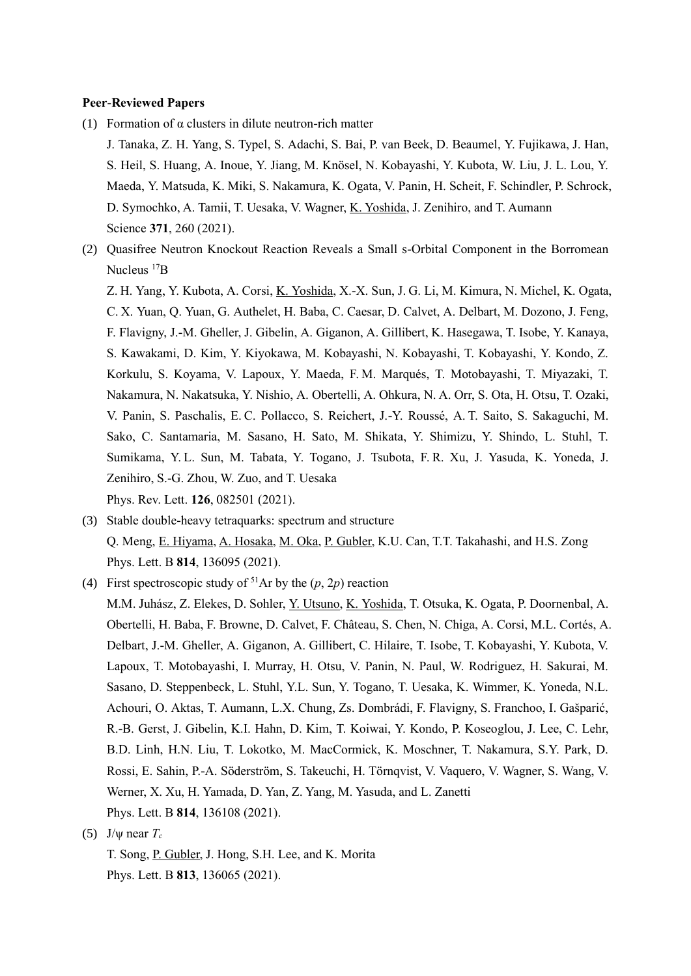#### **Peer-Reviewed Papers**

- (1) Formation of  $\alpha$  clusters in dilute neutron-rich matter
	- J. Tanaka, Z. H. Yang, S. Typel, S. Adachi, S. Bai, P. van Beek, D. Beaumel, Y. Fujikawa, J. Han, S. Heil, S. Huang, A. Inoue, Y. Jiang, M. Knösel, N. Kobayashi, Y. Kubota, W. Liu, J. L. Lou, Y. Maeda, Y. Matsuda, K. Miki, S. Nakamura, K. Ogata, V. Panin, H. Scheit, F. Schindler, P. Schrock, D. Symochko, A. Tamii, T. Uesaka, V. Wagner, K. Yoshida, J. Zenihiro, and T. Aumann Science **371**, 260 (2021).
- (2) Quasifree Neutron Knockout Reaction Reveals a Small s-Orbital Component in the Borromean Nucleus  ${}^{17}B$ 
	- Z. H. Yang, Y. Kubota, A. Corsi, K. Yoshida, X.-X. Sun, J. G. Li, M. Kimura, N. Michel, K. Ogata, C. X. Yuan, Q. Yuan, G. Authelet, H. Baba, C. Caesar, D. Calvet, A. Delbart, M. Dozono, J. Feng, F. Flavigny, J.-M. Gheller, J. Gibelin, A. Giganon, A. Gillibert, K. Hasegawa, T. Isobe, Y. Kanaya, S. Kawakami, D. Kim, Y. Kiyokawa, M. Kobayashi, N. Kobayashi, T. Kobayashi, Y. Kondo, Z. Korkulu, S. Koyama, V. Lapoux, Y. Maeda, F. M. Marqués, T. Motobayashi, T. Miyazaki, T. Nakamura, N. Nakatsuka, Y. Nishio, A. Obertelli, A. Ohkura, N. A. Orr, S. Ota, H. Otsu, T. Ozaki, V. Panin, S. Paschalis, E. C. Pollacco, S. Reichert, J.-Y. Roussé, A. T. Saito, S. Sakaguchi, M. Sako, C. Santamaria, M. Sasano, H. Sato, M. Shikata, Y. Shimizu, Y. Shindo, L. Stuhl, T. Sumikama, Y. L. Sun, M. Tabata, Y. Togano, J. Tsubota, F. R. Xu, J. Yasuda, K. Yoneda, J. Zenihiro, S.-G. Zhou, W. Zuo, and T. Uesaka Phys. Rev. Lett. **126**, 082501 (2021).
- (3) Stable double-heavy tetraquarks: spectrum and structure Q. Meng, E. Hiyama, A. Hosaka, M. Oka, P. Gubler, K.U. Can, T.T. Takahashi, and H.S. Zong Phys. Lett. B **814**, 136095 (2021).
- (4) First spectroscopic study of <sup>51</sup>Ar by the  $(p, 2p)$  reaction M.M. Juhász, Z. Elekes, D. Sohler, Y. Utsuno, K. Yoshida, T. Otsuka, K. Ogata, P. Doornenbal, A. Obertelli, H. Baba, F. Browne, D. Calvet, F. Château, S. Chen, N. Chiga, A. Corsi, M.L. Cortés, A. Delbart, J.-M. Gheller, A. Giganon, A. Gillibert, C. Hilaire, T. Isobe, T. Kobayashi, Y. Kubota, V. Lapoux, T. Motobayashi, I. Murray, H. Otsu, V. Panin, N. Paul, W. Rodriguez, H. Sakurai, M. Sasano, D. Steppenbeck, L. Stuhl, Y.L. Sun, Y. Togano, T. Uesaka, K. Wimmer, K. Yoneda, N.L. Achouri, O. Aktas, T. Aumann, L.X. Chung, Zs. Dombrádi, F. Flavigny, S. Franchoo, I. Gašparić,
	- R.-B. Gerst, J. Gibelin, K.I. Hahn, D. Kim, T. Koiwai, Y. Kondo, P. Koseoglou, J. Lee, C. Lehr, B.D. Linh, H.N. Liu, T. Lokotko, M. MacCormick, K. Moschner, T. Nakamura, S.Y. Park, D. Rossi, E. Sahin, P.-A. Söderström, S. Takeuchi, H. Törnqvist, V. Vaquero, V. Wagner, S. Wang, V. Werner, X. Xu, H. Yamada, D. Yan, Z. Yang, M. Yasuda, and L. Zanetti Phys. Lett. B **814**, 136108 (2021).
- (5)  $J/\psi$  near  $T_c$ 
	- T. Song, P. Gubler, J. Hong, S.H. Lee, and K. Morita Phys. Lett. B **813**, 136065 (2021).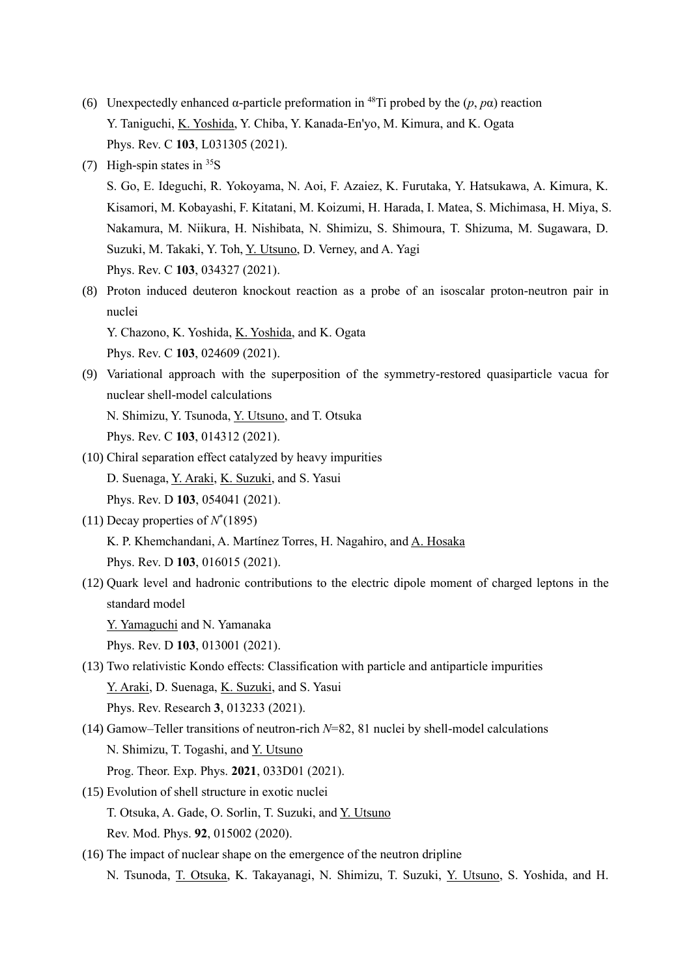- (6) Unexpectedly enhanced  $\alpha$ -particle preformation in <sup>48</sup>Ti probed by the  $(p, p\alpha)$  reaction Y. Taniguchi, K. Yoshida, Y. Chiba, Y. Kanada-En'yo, M. Kimura, and K. Ogata Phys. Rev. C **103**, L031305 (2021).
- (7) High-spin states in  $35S$

S. Go, E. Ideguchi, R. Yokoyama, N. Aoi, F. Azaiez, K. Furutaka, Y. Hatsukawa, A. Kimura, K. Kisamori, M. Kobayashi, F. Kitatani, M. Koizumi, H. Harada, I. Matea, S. Michimasa, H. Miya, S. Nakamura, M. Niikura, H. Nishibata, N. Shimizu, S. Shimoura, T. Shizuma, M. Sugawara, D. Suzuki, M. Takaki, Y. Toh, Y. Utsuno, D. Verney, and A. Yagi Phys. Rev. C **103**, 034327 (2021).

(8) Proton induced deuteron knockout reaction as a probe of an isoscalar proton-neutron pair in nuclei

Y. Chazono, K. Yoshida, K. Yoshida, and K. Ogata Phys. Rev. C **103**, 024609 (2021).

- (9) Variational approach with the superposition of the symmetry-restored quasiparticle vacua for nuclear shell-model calculations N. Shimizu, Y. Tsunoda, Y. Utsuno, and T. Otsuka Phys. Rev. C **103**, 014312 (2021).
- (10) Chiral separation effect catalyzed by heavy impurities D. Suenaga, Y. Araki, K. Suzuki, and S. Yasui Phys. Rev. D **103**, 054041 (2021).
- (11) Decay properties of  $N^*(1895)$ K. P. Khemchandani, A. Martínez Torres, H. Nagahiro, and A. Hosaka Phys. Rev. D **103**, 016015 (2021).
- (12) Quark level and hadronic contributions to the electric dipole moment of charged leptons in the standard model

Y. Yamaguchi and N. Yamanaka

Phys. Rev. D **103**, 013001 (2021).

- (13) Two relativistic Kondo effects: Classification with particle and antiparticle impurities Y. Araki, D. Suenaga, K. Suzuki, and S. Yasui Phys. Rev. Research **3**, 013233 (2021).
- (14) Gamow–Teller transitions of neutron-rich *N*=82, 81 nuclei by shell-model calculations N. Shimizu, T. Togashi, and Y. Utsuno Prog. Theor. Exp. Phys. **2021**, 033D01 (2021).
- (15) Evolution of shell structure in exotic nuclei T. Otsuka, A. Gade, O. Sorlin, T. Suzuki, and Y. Utsuno
	- Rev. Mod. Phys. **92**, 015002 (2020).
- (16) The impact of nuclear shape on the emergence of the neutron dripline N. Tsunoda, T. Otsuka, K. Takayanagi, N. Shimizu, T. Suzuki, Y. Utsuno, S. Yoshida, and H.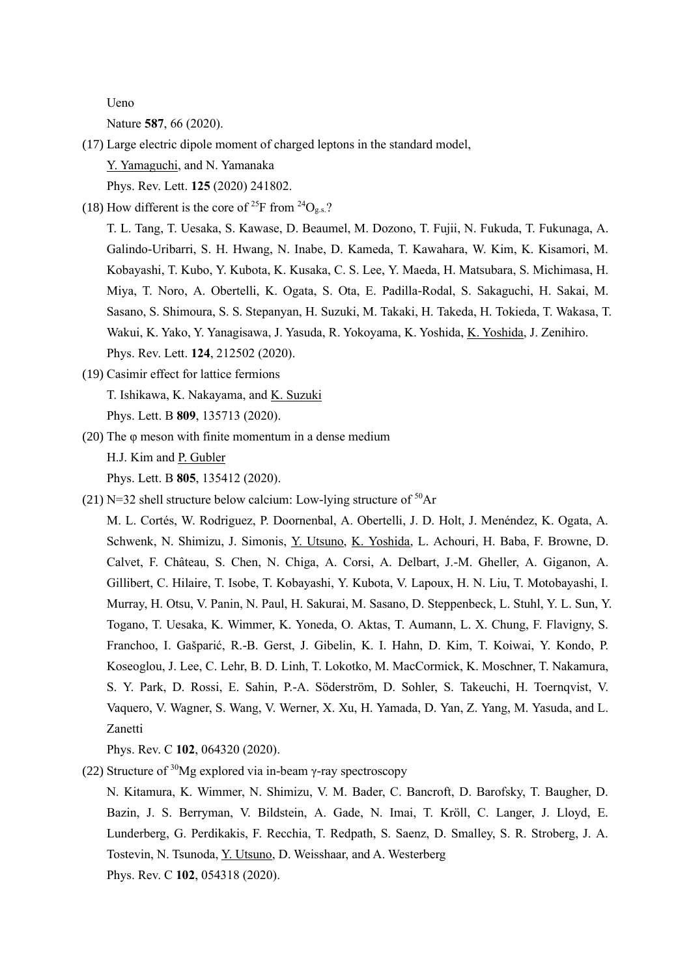Ueno

Nature **587**, 66 (2020).

- (17) Large electric dipole moment of charged leptons in the standard model, Y. Yamaguchi, and N. Yamanaka Phys. Rev. Lett. **125** (2020) 241802.
- (18) How different is the core of <sup>25</sup>F from <sup>24</sup>O<sub>g.s.</sub>?

T. L. Tang, T. Uesaka, S. Kawase, D. Beaumel, M. Dozono, T. Fujii, N. Fukuda, T. Fukunaga, A. Galindo-Uribarri, S. H. Hwang, N. Inabe, D. Kameda, T. Kawahara, W. Kim, K. Kisamori, M. Kobayashi, T. Kubo, Y. Kubota, K. Kusaka, C. S. Lee, Y. Maeda, H. Matsubara, S. Michimasa, H. Miya, T. Noro, A. Obertelli, K. Ogata, S. Ota, E. Padilla-Rodal, S. Sakaguchi, H. Sakai, M. Sasano, S. Shimoura, S. S. Stepanyan, H. Suzuki, M. Takaki, H. Takeda, H. Tokieda, T. Wakasa, T. Wakui, K. Yako, Y. Yanagisawa, J. Yasuda, R. Yokoyama, K. Yoshida, K. Yoshida, J. Zenihiro. Phys. Rev. Lett. **124**, 212502 (2020).

- (19) Casimir effect for lattice fermions T. Ishikawa, K. Nakayama, and K. Suzuki Phys. Lett. B **809**, 135713 (2020).
- (20) The φ meson with finite momentum in a dense medium H.J. Kim and P. Gubler Phys. Lett. B **805**, 135412 (2020).
- (21) N=32 shell structure below calcium: Low-lying structure of  $50Ar$

M. L. Cortés, W. Rodriguez, P. Doornenbal, A. Obertelli, J. D. Holt, J. Menéndez, K. Ogata, A. Schwenk, N. Shimizu, J. Simonis, Y. Utsuno, K. Yoshida, L. Achouri, H. Baba, F. Browne, D. Calvet, F. Château, S. Chen, N. Chiga, A. Corsi, A. Delbart, J.-M. Gheller, A. Giganon, A. Gillibert, C. Hilaire, T. Isobe, T. Kobayashi, Y. Kubota, V. Lapoux, H. N. Liu, T. Motobayashi, I. Murray, H. Otsu, V. Panin, N. Paul, H. Sakurai, M. Sasano, D. Steppenbeck, L. Stuhl, Y. L. Sun, Y. Togano, T. Uesaka, K. Wimmer, K. Yoneda, O. Aktas, T. Aumann, L. X. Chung, F. Flavigny, S. Franchoo, I. Gašparić, R.-B. Gerst, J. Gibelin, K. I. Hahn, D. Kim, T. Koiwai, Y. Kondo, P. Koseoglou, J. Lee, C. Lehr, B. D. Linh, T. Lokotko, M. MacCormick, K. Moschner, T. Nakamura, S. Y. Park, D. Rossi, E. Sahin, P.-A. Söderström, D. Sohler, S. Takeuchi, H. Toernqvist, V. Vaquero, V. Wagner, S. Wang, V. Werner, X. Xu, H. Yamada, D. Yan, Z. Yang, M. Yasuda, and L. Zanetti

Phys. Rev. C **102**, 064320 (2020).

(22) Structure of  $30$ Mg explored via in-beam γ-ray spectroscopy

N. Kitamura, K. Wimmer, N. Shimizu, V. M. Bader, C. Bancroft, D. Barofsky, T. Baugher, D. Bazin, J. S. Berryman, V. Bildstein, A. Gade, N. Imai, T. Kröll, C. Langer, J. Lloyd, E. Lunderberg, G. Perdikakis, F. Recchia, T. Redpath, S. Saenz, D. Smalley, S. R. Stroberg, J. A. Tostevin, N. Tsunoda, Y. Utsuno, D. Weisshaar, and A. Westerberg Phys. Rev. C **102**, 054318 (2020).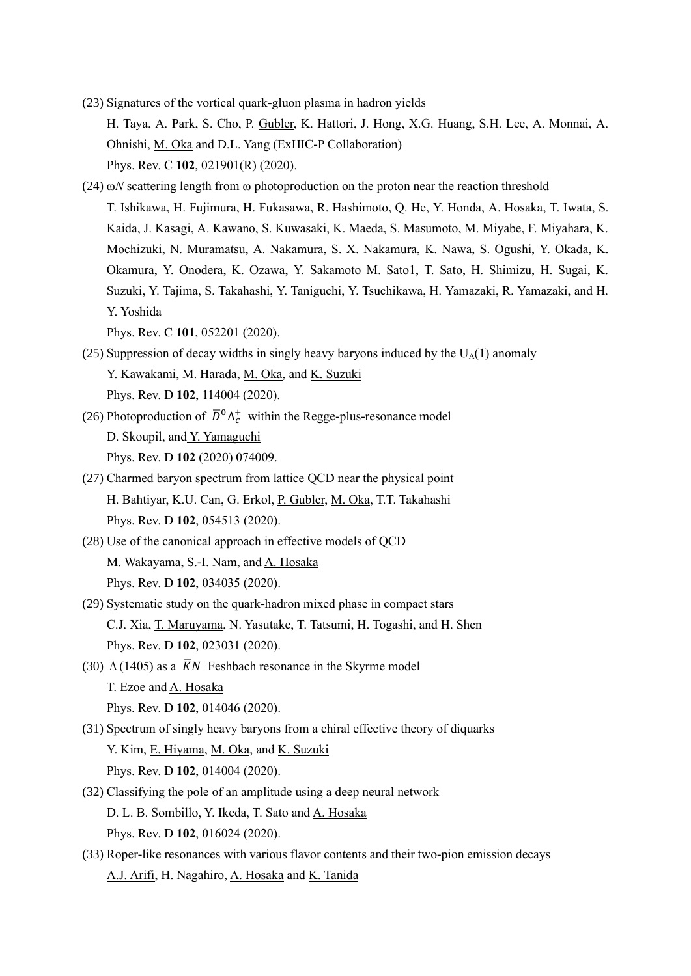- (23) Signatures of the vortical quark-gluon plasma in hadron yields H. Taya, A. Park, S. Cho, P. Gubler, K. Hattori, J. Hong, X.G. Huang, S.H. Lee, A. Monnai, A. Ohnishi, M. Oka and D.L. Yang (ExHIC-P Collaboration) Phys. Rev. C **102**, 021901(R) (2020).
- (24) ω*N* scattering length from ω photoproduction on the proton near the reaction threshold T. Ishikawa, H. Fujimura, H. Fukasawa, R. Hashimoto, Q. He, Y. Honda, A. Hosaka, T. Iwata, S. Kaida, J. Kasagi, A. Kawano, S. Kuwasaki, K. Maeda, S. Masumoto, M. Miyabe, F. Miyahara, K. Mochizuki, N. Muramatsu, A. Nakamura, S. X. Nakamura, K. Nawa, S. Ogushi, Y. Okada, K. Okamura, Y. Onodera, K. Ozawa, Y. Sakamoto M. Sato1, T. Sato, H. Shimizu, H. Sugai, K. Suzuki, Y. Tajima, S. Takahashi, Y. Taniguchi, Y. Tsuchikawa, H. Yamazaki, R. Yamazaki, and H. Y. Yoshida

Phys. Rev. C **101**, 052201 (2020).

- (25) Suppression of decay widths in singly heavy baryons induced by the  $U_A(1)$  anomaly Y. Kawakami, M. Harada, M. Oka, and K. Suzuki Phys. Rev. D **102**, 114004 (2020).
- (26) Photoproduction of  $\overline{D}^0 \Lambda_c^+$  within the Regge-plus-resonance model D. Skoupil, and Y. Yamaguchi Phys. Rev. D **102** (2020) 074009.
- (27) Charmed baryon spectrum from lattice QCD near the physical point H. Bahtiyar, K.U. Can, G. Erkol, P. Gubler, M. Oka, T.T. Takahashi Phys. Rev. D **102**, 054513 (2020).
- (28) Use of the canonical approach in effective models of QCD M. Wakayama, S.-I. Nam, and A. Hosaka Phys. Rev. D **102**, 034035 (2020).
- (29) Systematic study on the quark-hadron mixed phase in compact stars C.J. Xia, T. Maruyama, N. Yasutake, T. Tatsumi, H. Togashi, and H. Shen Phys. Rev. D **102**, 023031 (2020).
- (30)  $\Lambda$ (1405) as a  $\overline{K}N$  Feshbach resonance in the Skyrme model T. Ezoe and A. Hosaka Phys. Rev. D **102**, 014046 (2020).
- (31) Spectrum of singly heavy baryons from a chiral effective theory of diquarks Y. Kim, E. Hiyama, M. Oka, and K. Suzuki Phys. Rev. D **102**, 014004 (2020).
- (32) Classifying the pole of an amplitude using a deep neural network D. L. B. Sombillo, Y. Ikeda, T. Sato and A. Hosaka Phys. Rev. D **102**, 016024 (2020).
- (33) Roper-like resonances with various flavor contents and their two-pion emission decays A.J. Arifi, H. Nagahiro, A. Hosaka and K. Tanida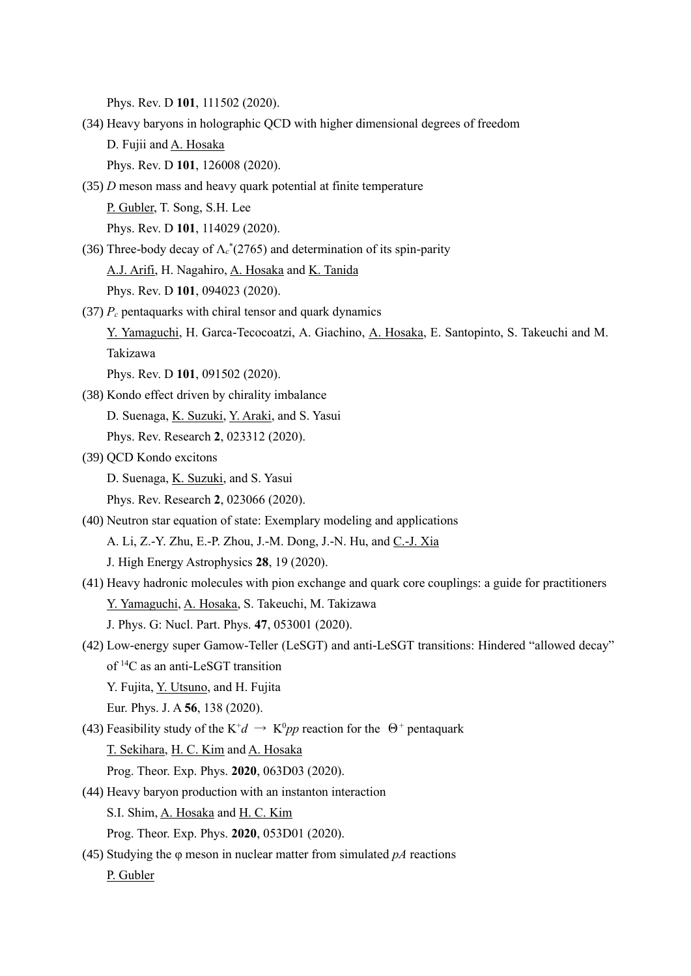Phys. Rev. D **101**, 111502 (2020).

- (34) Heavy baryons in holographic QCD with higher dimensional degrees of freedom D. Fujii and A. Hosaka Phys. Rev. D **101**, 126008 (2020).
- (35) *D* meson mass and heavy quark potential at finite temperature P. Gubler, T. Song, S.H. Lee Phys. Rev. D **101**, 114029 (2020).
- (36) Three-body decay of Λ*<sup>c</sup>* \* (2765) and determination of its spin-parity A.J. Arifi, H. Nagahiro, A. Hosaka and K. Tanida Phys. Rev. D **101**, 094023 (2020).
- (37) *P<sup>c</sup>* pentaquarks with chiral tensor and quark dynamics

Y. Yamaguchi, H. Garca-Tecocoatzi, A. Giachino, A. Hosaka, E. Santopinto, S. Takeuchi and M. Takizawa

Phys. Rev. D **101**, 091502 (2020).

(38) Kondo effect driven by chirality imbalance D. Suenaga, K. Suzuki, Y. Araki, and S. Yasui

Phys. Rev. Research **2**, 023312 (2020).

(39) QCD Kondo excitons

D. Suenaga, K. Suzuki, and S. Yasui

- Phys. Rev. Research **2**, 023066 (2020).
- (40) Neutron star equation of state: Exemplary modeling and applications A. Li, Z.-Y. Zhu, E.-P. Zhou, J.-M. Dong, J.-N. Hu, and C.-J. Xia J. High Energy Astrophysics **28**, 19 (2020).
- (41) Heavy hadronic molecules with pion exchange and quark core couplings: a guide for practitioners Y. Yamaguchi, A. Hosaka, S. Takeuchi, M. Takizawa J. Phys. G: Nucl. Part. Phys. **47**, 053001 (2020).
- (42) Low-energy super Gamow-Teller (LeSGT) and anti-LeSGT transitions: Hindered "allowed decay" of <sup>14</sup>C as an anti-LeSGT transition

Y. Fujita, Y. Utsuno, and H. Fujita

Eur. Phys. J. A **56**, 138 (2020).

(43) Feasibility study of the K<sup>+</sup> $d \rightarrow$  K<sup>0</sup> $pp$  reaction for the  $\Theta$ <sup>+</sup> pentaquark

T. Sekihara, H. C. Kim and A. Hosaka

Prog. Theor. Exp. Phys. **2020**, 063D03 (2020).

(44) Heavy baryon production with an instanton interaction

S.I. Shim, A. Hosaka and H. C. Kim

Prog. Theor. Exp. Phys. **2020**, 053D01 (2020).

(45) Studying the φ meson in nuclear matter from simulated *pA* reactions

P. Gubler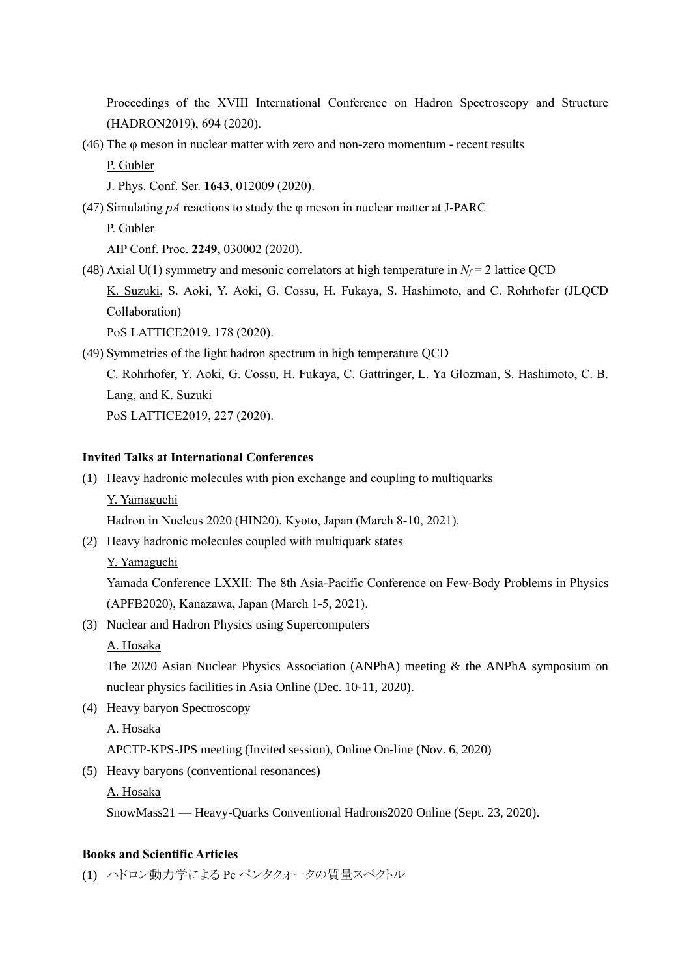Proceedings of the XVIII International Conference on Hadron Spectroscopy and Structure (HADRON2019), 694 (2020).

(46) The φ meson in nuclear matter with zero and non-zero momentum - recent results P. Gubler

J. Phys. Conf. Ser. **1643**, 012009 (2020).

(47) Simulating *pA* reactions to study the φ meson in nuclear matter at J-PARC

P. Gubler

AIP Conf. Proc. **2249**, 030002 (2020).

(48) Axial U(1) symmetry and mesonic correlators at high temperature in  $N_f$  = 2 lattice QCD K. Suzuki, S. Aoki, Y. Aoki, G. Cossu, H. Fukaya, S. Hashimoto, and C. Rohrhofer (JLQCD Collaboration) PoS LATTICE2019, 178 (2020).

(49) Symmetries of the light hadron spectrum in high temperature QCD

C. Rohrhofer, Y. Aoki, G. Cossu, H. Fukaya, C. Gattringer, L. Ya Glozman, S. Hashimoto, C. B. Lang, and K. Suzuki PoS LATTICE2019, 227 (2020).

## **Invited Talks at International Conferences**

(1) Heavy hadronic molecules with pion exchange and coupling to multiquarks Y. Yamaguchi

Hadron in Nucleus 2020 (HIN20), Kyoto, Japan (March 8-10, 2021).

(2) Heavy hadronic molecules coupled with multiquark states

Y. Yamaguchi

Yamada Conference LXXII: The 8th Asia-Pacific Conference on Few-Body Problems in Physics (APFB2020), Kanazawa, Japan (March 1-5, 2021).

(3) Nuclear and Hadron Physics using Supercomputers

A. Hosaka

The 2020 Asian Nuclear Physics Association (ANPhA) meeting & the ANPhA symposium on nuclear physics facilities in Asia Online (Dec. 10-11, 2020).

(4) Heavy baryon Spectroscopy

# A. Hosaka

APCTP-KPS-JPS meeting (Invited session), Online On-line (Nov. 6, 2020)

(5) Heavy baryons (conventional resonances)

A. Hosaka

SnowMass21 — Heavy-Quarks Conventional Hadrons2020 Online (Sept. 23, 2020).

### **Books and Scientific Articles**

(1) ハドロン動力学による Pc ペンタクォークの質量スペクトル